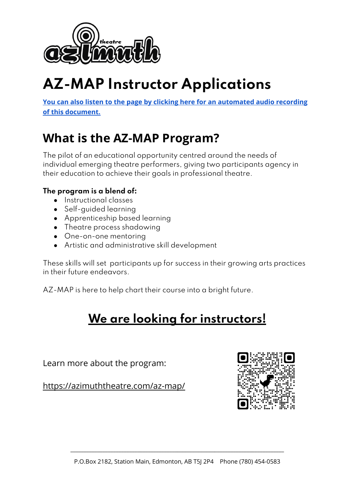

# **AZ-MAP Instructor Applications**

**You can also listen to the page by clicking here for an [automated](https://azimuththeatre.com/wp-content/uploads/2021/09/Job-Postings-Az-Map.mp3) audio recording of this [document.](https://azimuththeatre.com/wp-content/uploads/2021/09/Job-Postings-Az-Map.mp3)**

## **What is the AZ-MAP Program?**

The pilot of an educational opportunity centred around the needs of individual emerging theatre performers, giving two participants agency in their education to achieve their goals in professional theatre.

### **The program is a blend of:**

- Instructional classes
- Self-quided learning
- Apprenticeship based learning
- Theatre process shadowing
- One-on-one mentoring
- Artistic and administrative skill development

These skills will set participants up for success in their growing arts practices in their future endeavors.

AZ-MAP is here to help chart their course into a bright future.

## **We are looking for [instructors!](https://azimuththeatre.com/az-map/az-map-instructor-application/)**

Learn more about the program:

<https://azimuththeatre.com/az-map/>

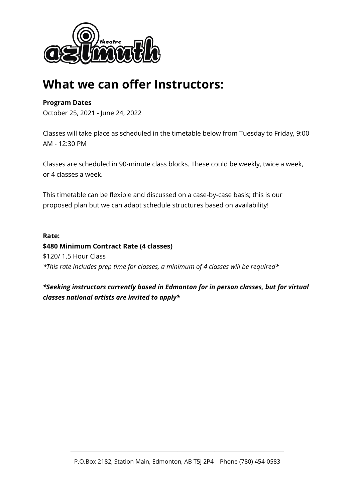

## **What we can offer Instructors:**

### **Program Dates**

October 25, 2021 - June 24, 2022

Classes will take place as scheduled in the timetable below from Tuesday to Friday, 9:00 AM - 12:30 PM

Classes are scheduled in 90-minute class blocks. These could be weekly, twice a week, or 4 classes a week.

This timetable can be flexible and discussed on a case-by-case basis; this is our proposed plan but we can adapt schedule structures based on availability!

**Rate: \$480 Minimum Contract Rate (4 classes)** \$120/ 1.5 Hour Class *\*This rate includes prep time for classes, a minimum of 4 classes will be required\**

*\*Seeking instructors currently based in Edmonton for in person classes, but for virtual classes national artists are invited to apply\**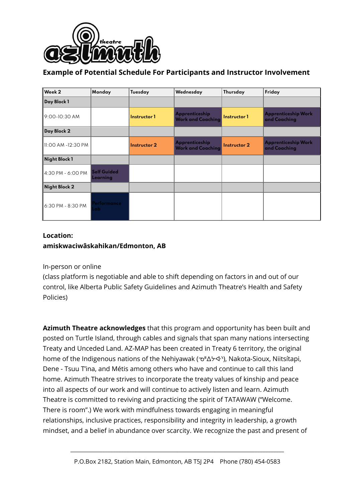

### **Example of Potential Schedule For Participants and Instructor Involvement**

| Week 2             | Monday                         | Tuesday      | Wednesday                                  | Thursday            | Friday                                     |
|--------------------|--------------------------------|--------------|--------------------------------------------|---------------------|--------------------------------------------|
| Day Block 1        |                                |              |                                            |                     |                                            |
| 9:00-10:30 AM      |                                | Instructor 1 | Apprenticeship<br><b>Work and Coaching</b> | Instructor 1        | <b>Apprenticeship Work</b><br>and Coaching |
| Day Block 2        |                                |              |                                            |                     |                                            |
| 11:00 AM -12:30 PM |                                | Instructor 2 | Apprenticeship<br><b>Work and Coaching</b> | <b>Instructor 2</b> | <b>Apprenticeship Work</b><br>and Coaching |
| Night Block 1      |                                |              |                                            |                     |                                            |
| 4:30 PM - 6:00 PM  | <b>Self Guided</b><br>Learning |              |                                            |                     |                                            |
| Night Block 2      |                                |              |                                            |                     |                                            |
| 6:30 PM - 8:30 PM  | 'erformance<br>ab.             |              |                                            |                     |                                            |

### **Location: amiskwaciwâskahikan/Edmonton, AB**

### In-person or online

(class platform is negotiable and able to shift depending on factors in and out of our control, like Alberta Public Safety Guidelines and Azimuth Theatre's Health and Safety Policies)

**Azimuth Theatre acknowledges** that this program and opportunity has been built and posted on Turtle Island, through cables and signals that span many nations intersecting Treaty and Unceded Land. AZ-MAP has been created in Treaty 6 territory, the original home of the Indigenous nations of the Nehiyawak ( $\sigma$ <sup>n</sup> $\Delta$  $\forall$ ·), Nakota-Sioux, Niitsítapi, Dene - Tsuu T'ina, and Métis among others who have and continue to call this land home. Azimuth Theatre strives to incorporate the treaty values of kinship and peace into all aspects of our work and will continue to actively listen and learn. Azimuth Theatre is committed to reviving and practicing the spirit of TATAWAW ("Welcome. There is room".) We work with mindfulness towards engaging in meaningful relationships, inclusive practices, responsibility and integrity in leadership, a growth mindset, and a belief in abundance over scarcity. We recognize the past and present of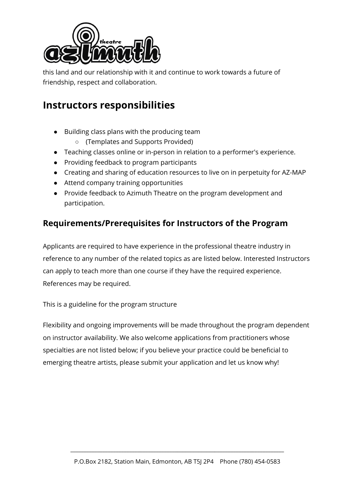

this land and our relationship with it and continue to work towards a future of friendship, respect and collaboration.

### **Instructors responsibilities**

- Building class plans with the producing team
	- (Templates and Supports Provided)
- Teaching classes online or in-person in relation to a performer's experience.
- Providing feedback to program participants
- Creating and sharing of education resources to live on in perpetuity for AZ-MAP
- Attend company training opportunities
- Provide feedback to Azimuth Theatre on the program development and participation.

### **Requirements/Prerequisites for Instructors of the Program**

Applicants are required to have experience in the professional theatre industry in reference to any number of the related topics as are listed below. Interested Instructors can apply to teach more than one course if they have the required experience. References may be required.

This is a guideline for the program structure

Flexibility and ongoing improvements will be made throughout the program dependent on instructor availability. We also welcome applications from practitioners whose specialties are not listed below; if you believe your practice could be beneficial to emerging theatre artists, please submit your application and let us know why!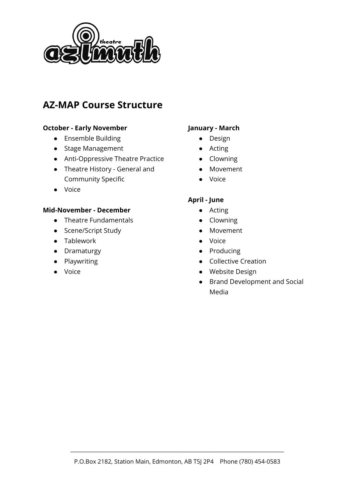

### **AZ-MAP Course Structure**

### **October - Early November**

- Ensemble Building
- Stage Management
- Anti-Oppressive Theatre Practice
- Theatre History General and Community Specific
- Voice

#### **Mid-November - December**

- Theatre Fundamentals
- Scene/Script Study
- Tablework
- Dramaturgy
- Playwriting
- Voice

### **January - March**

- Design
- Acting
- Clowning
- Movement
- Voice

### **April - June**

- Acting
- Clowning
- Movement
- Voice
- Producing
- Collective Creation
- Website Design
- Brand Development and Social Media

\_\_\_\_\_\_\_\_\_\_\_\_\_\_\_\_\_\_\_\_\_\_\_\_\_\_\_\_\_\_\_\_\_\_\_\_\_\_\_\_\_\_\_\_\_\_\_\_\_\_\_\_\_\_\_\_\_\_\_\_\_\_\_\_\_\_\_\_\_\_\_\_\_\_\_\_\_\_\_\_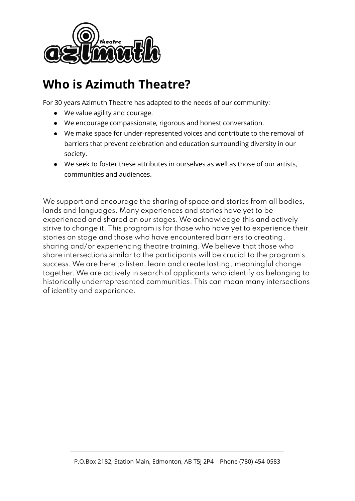

## **Who is Azimuth Theatre?**

For 30 years Azimuth Theatre has adapted to the needs of our community:

- We value agility and courage.
- We encourage compassionate, rigorous and honest conversation.
- We make space for under-represented voices and contribute to the removal of barriers that prevent celebration and education surrounding diversity in our society.
- We seek to foster these attributes in ourselves as well as those of our artists, communities and audiences.

We support and encourage the sharing of space and stories from all bodies, lands and languages. Many experiences and stories have yet to be experienced and shared on our stages.We acknowledge this and actively strive to change it. This program is for those who have yet to experience their stories on stage and those who have encountered barriers to creating, sharing and/or experiencing theatre training.We believe that those who share intersections similar to the participants will be crucial to the program's success.We are here to listen, learn and create lasting, meaningful change together.We are actively in search of applicants who identify as belonging to historically underrepresented communities. This can mean many intersections of identity and experience.